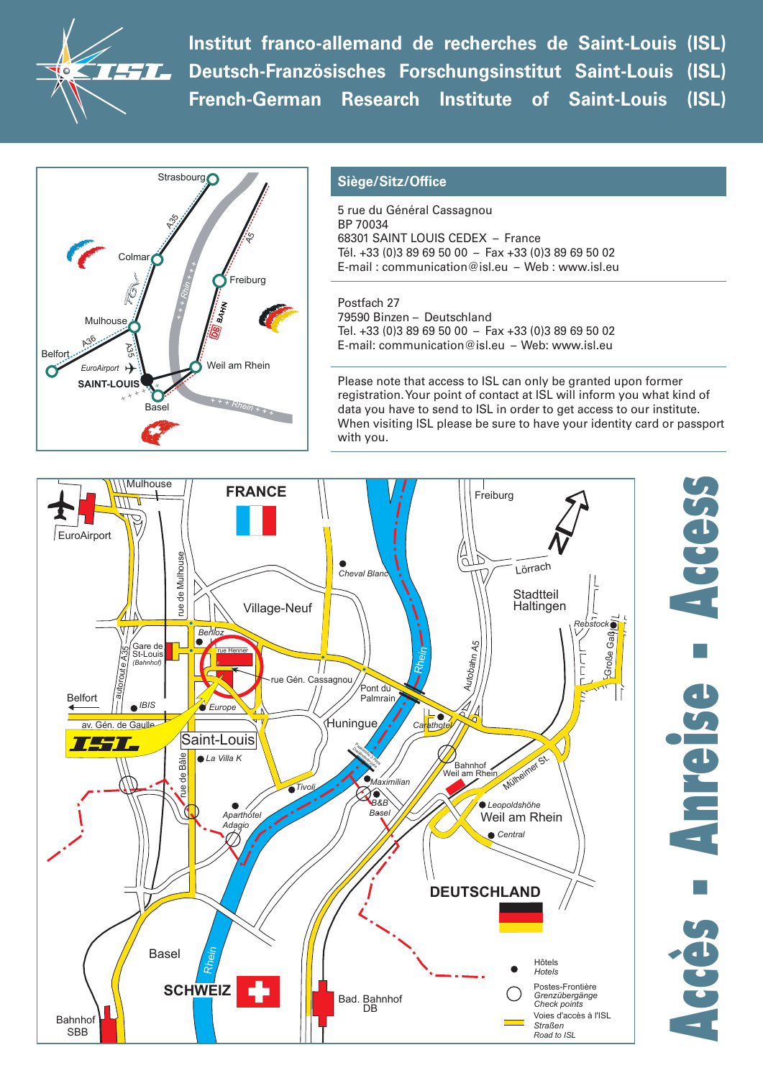$\bm{H}$ 

**Institut franco-allemand de recherches de Saint-Louis (ISL) Deutsch-Französisches Forschungsinstitut Saint-Louis (ISL) French-German Research Institute of Saint-Louis (ISL)**



## **Siège/Sitz/Office**

5 rue du Général Cassagnou BP 70034 68301 SAINT LOUIS CEDEX – France Tél. +33 (0)3 89 69 50 00 – Fax +33 (0)3 89 69 50 02 E-mail : communication@isl.eu – Web : www.isl.eu

Postfach 27 79590 Binzen – Deutschland Tel. +33 (0)3 89 69 50 00 – Fax +33 (0)3 89 69 50 02 E-mail: communication@isl.eu – Web: www.isl.eu

Please note that access to ISL can only be granted upon former registration. Your point of contact at ISL will inform you what kind of data you have to send to ISL in order to get access to our institute. When visiting ISL please be sure to have your identity card or passport with you.